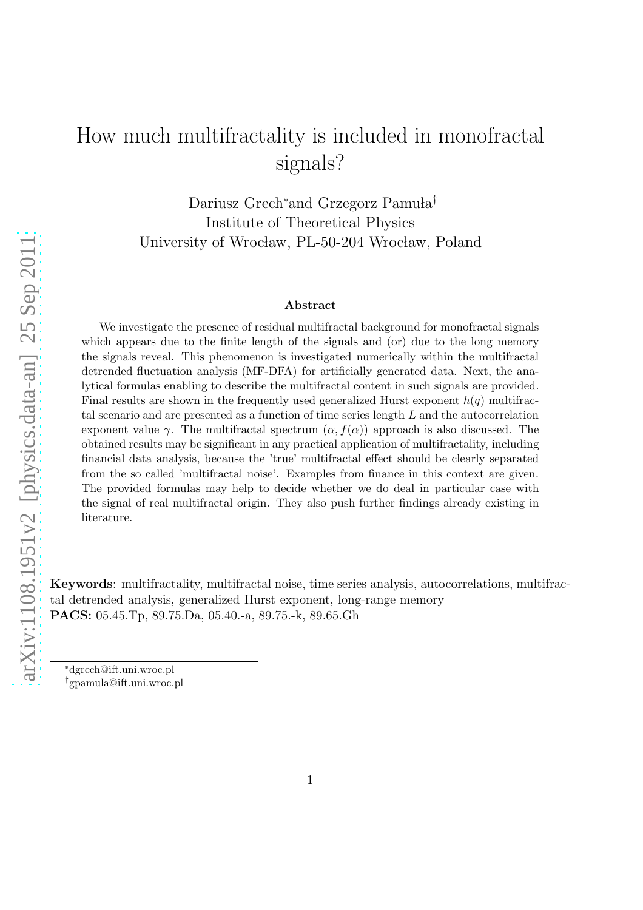# How much multifractality is included in monofractal signals?

Dariusz Grech<sup>∗</sup>and Grzegorz Pamuła<sup>†</sup> Institute of Theoretical Physics University of Wrocław, PL-50-204 Wrocław, Poland

#### Abstract

We investigate the presence of residual multifractal background for monofractal signals which appears due to the finite length of the signals and (or) due to the long memory the signals reveal. This phenomenon is investigated numerically within the multifractal detrended fluctuation analysis (MF-DFA) for artificially generated data. Next, the analytical formulas enabling to describe the multifractal content in such signals are provided. Final results are shown in the frequently used generalized Hurst exponent  $h(q)$  multifractal scenario and are presented as a function of time series length L and the autocorrelation exponent value  $\gamma$ . The multifractal spectrum  $(\alpha, f(\alpha))$  approach is also discussed. The obtained results may be significant in any practical application of multifractality, including financial data analysis, because the 'true' multifractal effect should be clearly separated from the so called 'multifractal noise'. Examples from finance in this context are given. The provided formulas may help to decide whether we do deal in particular case with the signal of real multifractal origin. They also push further findings already existing in literature.

Keywords: multifractality, multifractal noise, time series analysis, autocorrelations, multifractal detrended analysis, generalized Hurst exponent, long-range memory PACS: 05.45.Tp, 89.75.Da, 05.40.-a, 89.75.-k, 89.65.Gh

<sup>∗</sup>dgrech@ift.uni.wroc.pl

<sup>†</sup>gpamula@ift.uni.wroc.pl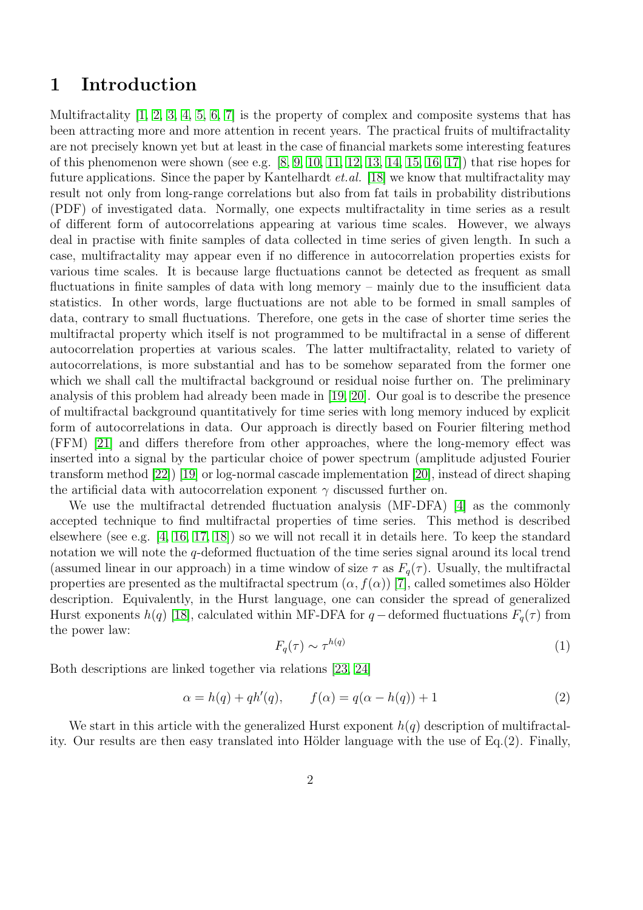### 1 Introduction

Multifractality  $[1, 2, 3, 4, 5, 6, 7]$  $[1, 2, 3, 4, 5, 6, 7]$  $[1, 2, 3, 4, 5, 6, 7]$  $[1, 2, 3, 4, 5, 6, 7]$  $[1, 2, 3, 4, 5, 6, 7]$  $[1, 2, 3, 4, 5, 6, 7]$  $[1, 2, 3, 4, 5, 6, 7]$  is the property of complex and composite systems that has been attracting more and more attention in recent years. The practical fruits of multifractality are not precisely known yet but at least in the case of financial markets some interesting features of this phenomenon were shown (see e.g.  $[8, 9, 10, 11, 12, 13, 14, 15, 16, 17]$  $[8, 9, 10, 11, 12, 13, 14, 15, 16, 17]$  $[8, 9, 10, 11, 12, 13, 14, 15, 16, 17]$  $[8, 9, 10, 11, 12, 13, 14, 15, 16, 17]$  $[8, 9, 10, 11, 12, 13, 14, 15, 16, 17]$  $[8, 9, 10, 11, 12, 13, 14, 15, 16, 17]$  $[8, 9, 10, 11, 12, 13, 14, 15, 16, 17]$  $[8, 9, 10, 11, 12, 13, 14, 15, 16, 17]$  $[8, 9, 10, 11, 12, 13, 14, 15, 16, 17]$  $[8, 9, 10, 11, 12, 13, 14, 15, 16, 17]$ ) that rise hopes for future applications. Since the paper by Kantelhardt et.al. [\[18\]](#page-7-11) we know that multifractality may result not only from long-range correlations but also from fat tails in probability distributions (PDF) of investigated data. Normally, one expects multifractality in time series as a result of different form of autocorrelations appearing at various time scales. However, we always deal in practise with finite samples of data collected in time series of given length. In such a case, multifractality may appear even if no difference in autocorrelation properties exists for various time scales. It is because large fluctuations cannot be detected as frequent as small fluctuations in finite samples of data with long memory – mainly due to the insufficient data statistics. In other words, large fluctuations are not able to be formed in small samples of data, contrary to small fluctuations. Therefore, one gets in the case of shorter time series the multifractal property which itself is not programmed to be multifractal in a sense of different autocorrelation properties at various scales. The latter multifractality, related to variety of autocorrelations, is more substantial and has to be somehow separated from the former one which we shall call the multifractal background or residual noise further on. The preliminary analysis of this problem had already been made in [\[19,](#page-7-12) [20\]](#page-7-13). Our goal is to describe the presence of multifractal background quantitatively for time series with long memory induced by explicit form of autocorrelations in data. Our approach is directly based on Fourier filtering method (FFM) [\[21\]](#page-7-14) and differs therefore from other approaches, where the long-memory effect was inserted into a signal by the particular choice of power spectrum (amplitude adjusted Fourier transform method [\[22\]](#page-7-15)) [\[19\]](#page-7-12) or log-normal cascade implementation [\[20\]](#page-7-13), instead of direct shaping the artificial data with autocorrelation exponent  $\gamma$  discussed further on.

We use the multifractal detrended fluctuation analysis (MF-DFA) [\[4\]](#page-6-3) as the commonly accepted technique to find multifractal properties of time series. This method is described elsewhere (see e.g. [\[4,](#page-6-3) [16,](#page-7-9) [17,](#page-7-10) [18\]](#page-7-11)) so we will not recall it in details here. To keep the standard notation we will note the q-deformed fluctuation of the time series signal around its local trend (assumed linear in our approach) in a time window of size  $\tau$  as  $F_q(\tau)$ . Usually, the multifractal properties are presented as the multifractal spectrum  $(\alpha, f(\alpha))$  [\[7\]](#page-7-0), called sometimes also Hölder description. Equivalently, in the Hurst language, one can consider the spread of generalized Hurst exponents  $h(q)$  [\[18\]](#page-7-11), calculated within MF-DFA for q – deformed fluctuations  $F_q(\tau)$  from the power law:

$$
F_q(\tau) \sim \tau^{h(q)} \tag{1}
$$

Both descriptions are linked together via relations [\[23,](#page-7-16) [24\]](#page-7-17)

$$
\alpha = h(q) + qh'(q), \qquad f(\alpha) = q(\alpha - h(q)) + 1 \tag{2}
$$

We start in this article with the generalized Hurst exponent  $h(q)$  description of multifractality. Our results are then easy translated into Hölder language with the use of  $Eq.(2)$ . Finally,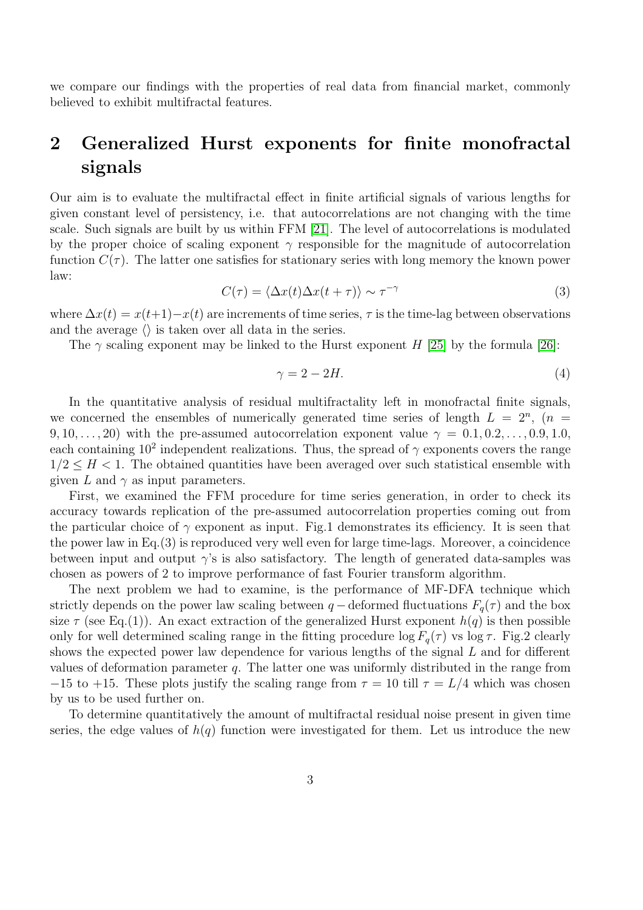we compare our findings with the properties of real data from financial market, commonly believed to exhibit multifractal features.

## 2 Generalized Hurst exponents for finite monofractal signals

Our aim is to evaluate the multifractal effect in finite artificial signals of various lengths for given constant level of persistency, i.e. that autocorrelations are not changing with the time scale. Such signals are built by us within FFM [\[21\]](#page-7-14). The level of autocorrelations is modulated by the proper choice of scaling exponent  $\gamma$  responsible for the magnitude of autocorrelation function  $C(\tau)$ . The latter one satisfies for stationary series with long memory the known power law:

$$
C(\tau) = \langle \Delta x(t) \Delta x(t+\tau) \rangle \sim \tau^{-\gamma}
$$
\n(3)

where  $\Delta x(t) = x(t+1)-x(t)$  are increments of time series,  $\tau$  is the time-lag between observations and the average  $\langle \rangle$  is taken over all data in the series.

The  $\gamma$  scaling exponent may be linked to the Hurst exponent H [\[25\]](#page-7-18) by the formula [\[26\]](#page-7-19):

$$
\gamma = 2 - 2H.\tag{4}
$$

In the quantitative analysis of residual multifractality left in monofractal finite signals, we concerned the ensembles of numerically generated time series of length  $L = 2^n$ ,  $(n =$ 9, 10, . . . , 20) with the pre-assumed autocorrelation exponent value  $\gamma = 0.1, 0.2, \ldots, 0.9, 1.0$ , each containing  $10^2$  independent realizations. Thus, the spread of  $\gamma$  exponents covers the range  $1/2 \leq H < 1$ . The obtained quantities have been averaged over such statistical ensemble with given L and  $\gamma$  as input parameters.

First, we examined the FFM procedure for time series generation, in order to check its accuracy towards replication of the pre-assumed autocorrelation properties coming out from the particular choice of  $\gamma$  exponent as input. Fig.1 demonstrates its efficiency. It is seen that the power law in Eq.(3) is reproduced very well even for large time-lags. Moreover, a coincidence between input and output  $\gamma$ 's is also satisfactory. The length of generated data-samples was chosen as powers of 2 to improve performance of fast Fourier transform algorithm.

The next problem we had to examine, is the performance of MF-DFA technique which strictly depends on the power law scaling between  $q$  – deformed fluctuations  $F_q(\tau)$  and the box size  $\tau$  (see Eq.(1)). An exact extraction of the generalized Hurst exponent  $h(q)$  is then possible only for well determined scaling range in the fitting procedure  $\log F_q(\tau)$  vs  $\log \tau$ . Fig.2 clearly shows the expected power law dependence for various lengths of the signal  $L$  and for different values of deformation parameter  $q$ . The latter one was uniformly distributed in the range from −15 to +15. These plots justify the scaling range from  $\tau = 10$  till  $\tau = L/4$  which was chosen by us to be used further on.

To determine quantitatively the amount of multifractal residual noise present in given time series, the edge values of  $h(q)$  function were investigated for them. Let us introduce the new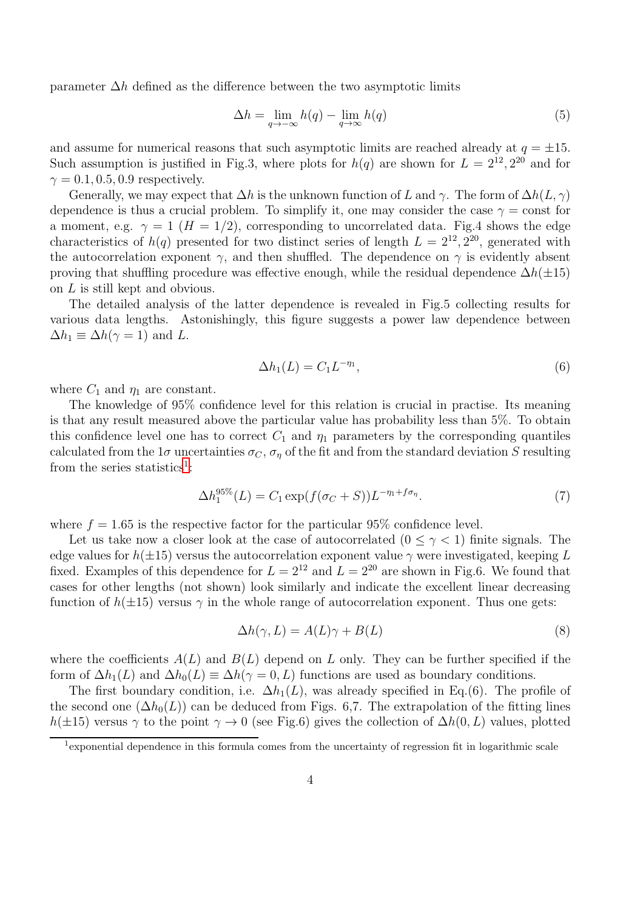parameter  $\Delta h$  defined as the difference between the two asymptotic limits

$$
\Delta h = \lim_{q \to -\infty} h(q) - \lim_{q \to \infty} h(q) \tag{5}
$$

and assume for numerical reasons that such asymptotic limits are reached already at  $q = \pm 15$ . Such assumption is justified in Fig.3, where plots for  $h(q)$  are shown for  $L = 2^{12}, 2^{20}$  and for  $\gamma = 0.1, 0.5, 0.9$  respectively.

Generally, we may expect that  $\Delta h$  is the unknown function of L and  $\gamma$ . The form of  $\Delta h(L, \gamma)$ dependence is thus a crucial problem. To simplify it, one may consider the case  $\gamma = \text{const}$  for a moment, e.g.  $\gamma = 1$  ( $H = 1/2$ ), corresponding to uncorrelated data. Fig.4 shows the edge characteristics of  $h(q)$  presented for two distinct series of length  $L = 2^{12}, 2^{20}$ , generated with the autocorrelation exponent  $\gamma$ , and then shuffled. The dependence on  $\gamma$  is evidently absent proving that shuffling procedure was effective enough, while the residual dependence  $\Delta h(\pm 15)$ on L is still kept and obvious.

The detailed analysis of the latter dependence is revealed in Fig.5 collecting results for various data lengths. Astonishingly, this figure suggests a power law dependence between  $\Delta h_1 \equiv \Delta h(\gamma = 1)$  and L.

$$
\Delta h_1(L) = C_1 L^{-\eta_1},\tag{6}
$$

where  $C_1$  and  $\eta_1$  are constant.

The knowledge of 95% confidence level for this relation is crucial in practise. Its meaning is that any result measured above the particular value has probability less than 5%. To obtain this confidence level one has to correct  $C_1$  and  $\eta_1$  parameters by the corresponding quantiles calculated from the 1 $\sigma$  uncertainties  $\sigma_C$ ,  $\sigma_\eta$  of the fit and from the standard deviation S resulting from the series statistics<sup>[1](#page-3-0)</sup>:

$$
\Delta h_1^{95\%}(L) = C_1 \exp(f(\sigma_C + S)) L^{-\eta_1 + f\sigma_\eta}.
$$
\n(7)

where  $f = 1.65$  is the respective factor for the particular 95% confidence level.

Let us take now a closer look at the case of autocorrelated  $(0 \leq \gamma < 1)$  finite signals. The edge values for  $h(\pm 15)$  versus the autocorrelation exponent value  $\gamma$  were investigated, keeping L fixed. Examples of this dependence for  $L = 2^{12}$  and  $L = 2^{20}$  are shown in Fig.6. We found that cases for other lengths (not shown) look similarly and indicate the excellent linear decreasing function of  $h(\pm 15)$  versus  $\gamma$  in the whole range of autocorrelation exponent. Thus one gets:

$$
\Delta h(\gamma, L) = A(L)\gamma + B(L) \tag{8}
$$

where the coefficients  $A(L)$  and  $B(L)$  depend on L only. They can be further specified if the form of  $\Delta h_1(L)$  and  $\Delta h_0(L) \equiv \Delta h(\gamma = 0, L)$  functions are used as boundary conditions.

The first boundary condition, i.e.  $\Delta h_1(L)$ , was already specified in Eq.(6). The profile of the second one  $(\Delta h_0(L))$  can be deduced from Figs. 6,7. The extrapolation of the fitting lines  $h(\pm 15)$  versus  $\gamma$  to the point  $\gamma \to 0$  (see Fig.6) gives the collection of  $\Delta h(0,L)$  values, plotted

<span id="page-3-0"></span><sup>&</sup>lt;sup>1</sup> exponential dependence in this formula comes from the uncertainty of regression fit in logarithmic scale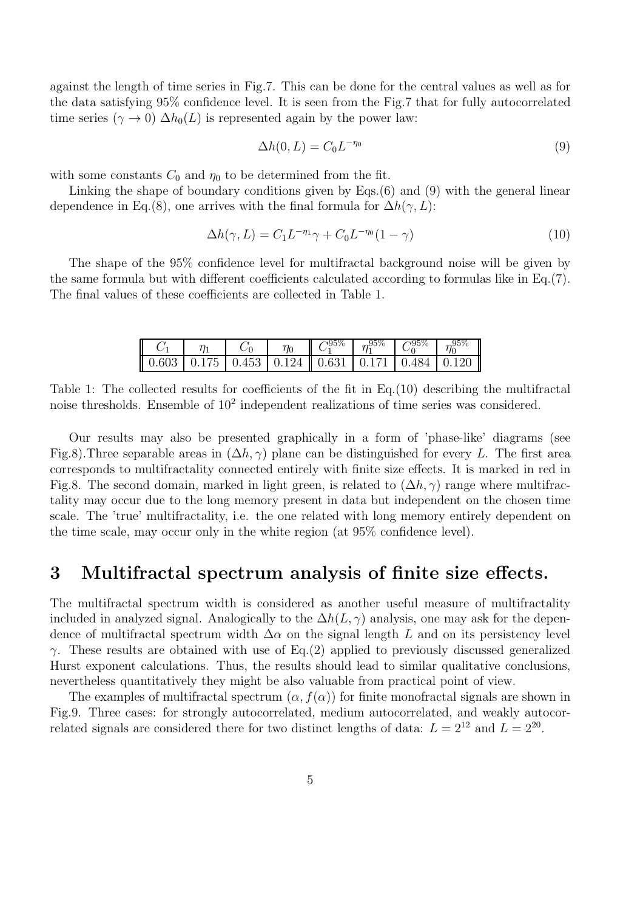against the length of time series in Fig.7. This can be done for the central values as well as for the data satisfying 95% confidence level. It is seen from the Fig.7 that for fully autocorrelated time series ( $\gamma \to 0$ )  $\Delta h_0(L)$  is represented again by the power law:

$$
\Delta h(0, L) = C_0 L^{-\eta_0} \tag{9}
$$

with some constants  $C_0$  and  $\eta_0$  to be determined from the fit.

Linking the shape of boundary conditions given by Eqs.(6) and (9) with the general linear dependence in Eq.(8), one arrives with the final formula for  $\Delta h(\gamma, L)$ :

$$
\Delta h(\gamma, L) = C_1 L^{-\eta_1} \gamma + C_0 L^{-\eta_0} (1 - \gamma) \tag{10}
$$

The shape of the 95% confidence level for multifractal background noise will be given by the same formula but with different coefficients calculated according to formulas like in Eq.(7). The final values of these coefficients are collected in Table 1.

|                                                                                                         | $\eta_1$ | $C_0$ | $\eta_0$ $\parallel \bar{C}_1^{95\%} \parallel \eta_1^{95\%} \parallel C_0^{95\%} \parallel \eta_0^{95\%}$ |  |  |
|---------------------------------------------------------------------------------------------------------|----------|-------|------------------------------------------------------------------------------------------------------------|--|--|
| $\vert 0.603 \vert 0.175 \vert 0.453 \vert 0.124 \vert 0.631 \vert 0.171 \vert 0.484 \vert 0.120 \vert$ |          |       |                                                                                                            |  |  |

Table 1: The collected results for coefficients of the fit in Eq.(10) describing the multifractal noise thresholds. Ensemble of  $10^2$  independent realizations of time series was considered.

Our results may also be presented graphically in a form of 'phase-like' diagrams (see Fig.8).Three separable areas in  $(\Delta h, \gamma)$  plane can be distinguished for every L. The first area corresponds to multifractality connected entirely with finite size effects. It is marked in red in Fig.8. The second domain, marked in light green, is related to  $(\Delta h, \gamma)$  range where multifractality may occur due to the long memory present in data but independent on the chosen time scale. The 'true' multifractality, i.e. the one related with long memory entirely dependent on the time scale, may occur only in the white region (at 95% confidence level).

### 3 Multifractal spectrum analysis of finite size effects.

The multifractal spectrum width is considered as another useful measure of multifractality included in analyzed signal. Analogically to the  $\Delta h(L, \gamma)$  analysis, one may ask for the dependence of multifractal spectrum width  $\Delta\alpha$  on the signal length L and on its persistency level γ. These results are obtained with use of Eq.(2) applied to previously discussed generalized Hurst exponent calculations. Thus, the results should lead to similar qualitative conclusions, nevertheless quantitatively they might be also valuable from practical point of view.

The examples of multifractal spectrum  $(\alpha, f(\alpha))$  for finite monofractal signals are shown in Fig.9. Three cases: for strongly autocorrelated, medium autocorrelated, and weakly autocorrelated signals are considered there for two distinct lengths of data:  $L = 2^{12}$  and  $L = 2^{20}$ .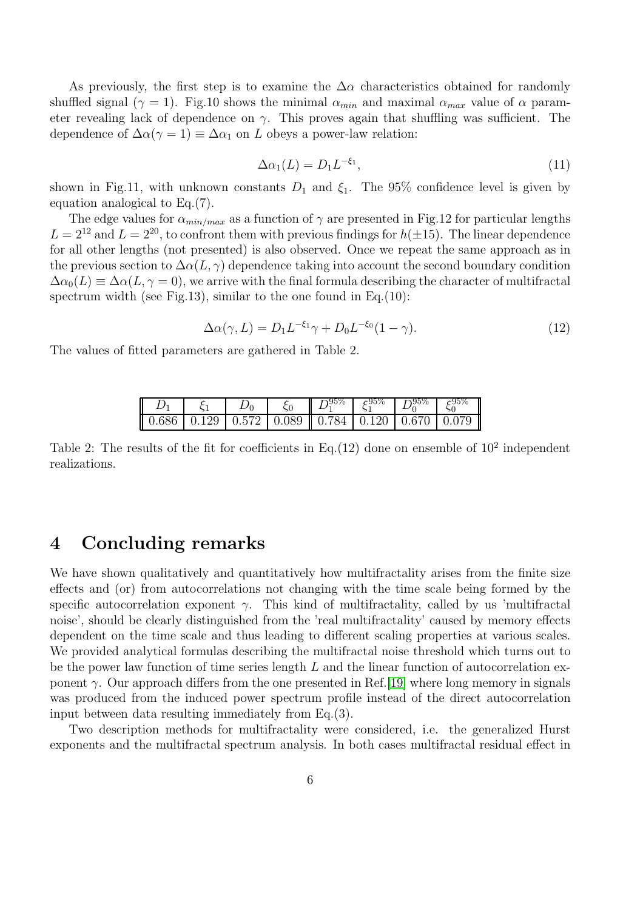As previously, the first step is to examine the  $\Delta \alpha$  characteristics obtained for randomly shuffled signal ( $\gamma = 1$ ). Fig.10 shows the minimal  $\alpha_{min}$  and maximal  $\alpha_{max}$  value of  $\alpha$  parameter revealing lack of dependence on  $\gamma$ . This proves again that shuffling was sufficient. The dependence of  $\Delta \alpha (\gamma = 1) \equiv \Delta \alpha_1$  on L obeys a power-law relation:

$$
\Delta \alpha_1(L) = D_1 L^{-\xi_1},\tag{11}
$$

shown in Fig.11, with unknown constants  $D_1$  and  $\xi_1$ . The 95% confidence level is given by equation analogical to Eq.(7).

The edge values for  $\alpha_{min/max}$  as a function of  $\gamma$  are presented in Fig.12 for particular lengths  $L = 2^{12}$  and  $L = 2^{20}$ , to confront them with previous findings for  $h(\pm 15)$ . The linear dependence for all other lengths (not presented) is also observed. Once we repeat the same approach as in the previous section to  $\Delta \alpha(L, \gamma)$  dependence taking into account the second boundary condition  $\Delta\alpha_0(L) \equiv \Delta\alpha(L, \gamma = 0)$ , we arrive with the final formula describing the character of multifractal spectrum width (see Fig.13), similar to the one found in Eq.  $(10)$ :

$$
\Delta\alpha(\gamma, L) = D_1 L^{-\xi_1} \gamma + D_0 L^{-\xi_0} (1 - \gamma). \tag{12}
$$

The values of fitted parameters are gathered in Table 2.

|  |  | $D_1^{95\%}$ $\xi_1^{95\%}$ $D_0^{95\%}$ $\xi_0^{95\%}$ |  | – II                                                                       |
|--|--|---------------------------------------------------------|--|----------------------------------------------------------------------------|
|  |  |                                                         |  | $\parallel$ 0.686   0.129   0.572   0.089    0.784   0.120   0.670   0.079 |

Table 2: The results of the fit for coefficients in Eq. (12) done on ensemble of  $10^2$  independent realizations.

### 4 Concluding remarks

We have shown qualitatively and quantitatively how multifractality arises from the finite size effects and (or) from autocorrelations not changing with the time scale being formed by the specific autocorrelation exponent  $\gamma$ . This kind of multifractality, called by us 'multifractal noise', should be clearly distinguished from the 'real multifractality' caused by memory effects dependent on the time scale and thus leading to different scaling properties at various scales. We provided analytical formulas describing the multifractal noise threshold which turns out to be the power law function of time series length  $L$  and the linear function of autocorrelation exponent  $\gamma$ . Our approach differs from the one presented in Ref. [\[19\]](#page-7-12) where long memory in signals was produced from the induced power spectrum profile instead of the direct autocorrelation input between data resulting immediately from Eq.(3).

Two description methods for multifractality were considered, i.e. the generalized Hurst exponents and the multifractal spectrum analysis. In both cases multifractal residual effect in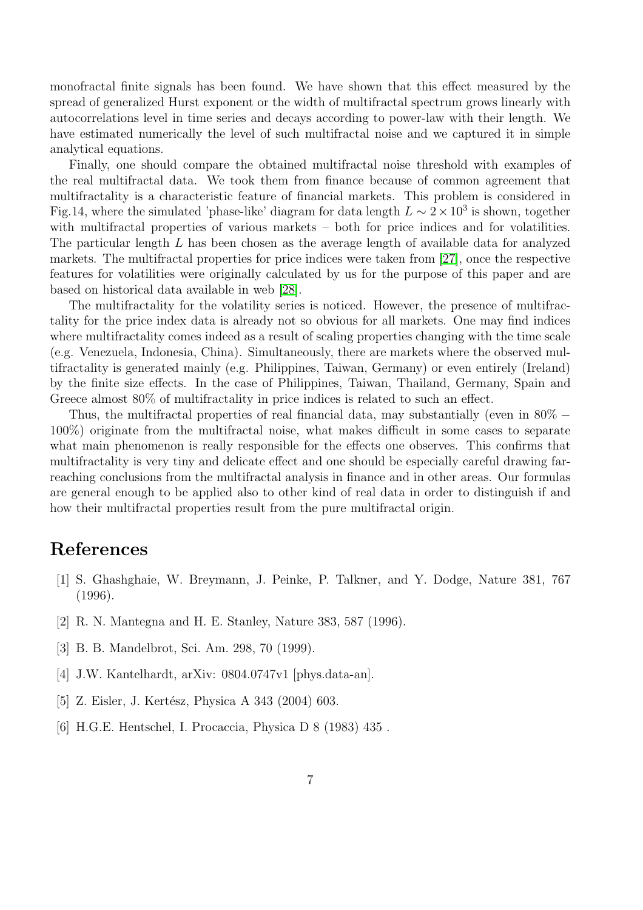monofractal finite signals has been found. We have shown that this effect measured by the spread of generalized Hurst exponent or the width of multifractal spectrum grows linearly with autocorrelations level in time series and decays according to power-law with their length. We have estimated numerically the level of such multifractal noise and we captured it in simple analytical equations.

Finally, one should compare the obtained multifractal noise threshold with examples of the real multifractal data. We took them from finance because of common agreement that multifractality is a characteristic feature of financial markets. This problem is considered in Fig.14, where the simulated 'phase-like' diagram for data length  $L \sim 2 \times 10^3$  is shown, together with multifractal properties of various markets – both for price indices and for volatilities. The particular length L has been chosen as the average length of available data for analyzed markets. The multifractal properties for price indices were taken from [\[27\]](#page-7-20), once the respective features for volatilities were originally calculated by us for the purpose of this paper and are based on historical data available in web [\[28\]](#page-7-21).

The multifractality for the volatility series is noticed. However, the presence of multifractality for the price index data is already not so obvious for all markets. One may find indices where multifractality comes indeed as a result of scaling properties changing with the time scale (e.g. Venezuela, Indonesia, China). Simultaneously, there are markets where the observed multifractality is generated mainly (e.g. Philippines, Taiwan, Germany) or even entirely (Ireland) by the finite size effects. In the case of Philippines, Taiwan, Thailand, Germany, Spain and Greece almost 80% of multifractality in price indices is related to such an effect.

Thus, the multifractal properties of real financial data, may substantially (even in  $80\%$  – 100%) originate from the multifractal noise, what makes difficult in some cases to separate what main phenomenon is really responsible for the effects one observes. This confirms that multifractality is very tiny and delicate effect and one should be especially careful drawing farreaching conclusions from the multifractal analysis in finance and in other areas. Our formulas are general enough to be applied also to other kind of real data in order to distinguish if and how their multifractal properties result from the pure multifractal origin.

### <span id="page-6-0"></span>References

- [1] S. Ghashghaie, W. Breymann, J. Peinke, P. Talkner, and Y. Dodge, Nature 381, 767 (1996).
- <span id="page-6-2"></span><span id="page-6-1"></span>[2] R. N. Mantegna and H. E. Stanley, Nature 383, 587 (1996).
- <span id="page-6-3"></span>[3] B. B. Mandelbrot, Sci. Am. 298, 70 (1999).
- <span id="page-6-4"></span>[4] J.W. Kantelhardt, arXiv: 0804.0747v1 [phys.data-an].
- <span id="page-6-5"></span>[5] Z. Eisler, J. Kertész, Physica A 343 (2004) 603.
- [6] H.G.E. Hentschel, I. Procaccia, Physica D 8 (1983) 435 .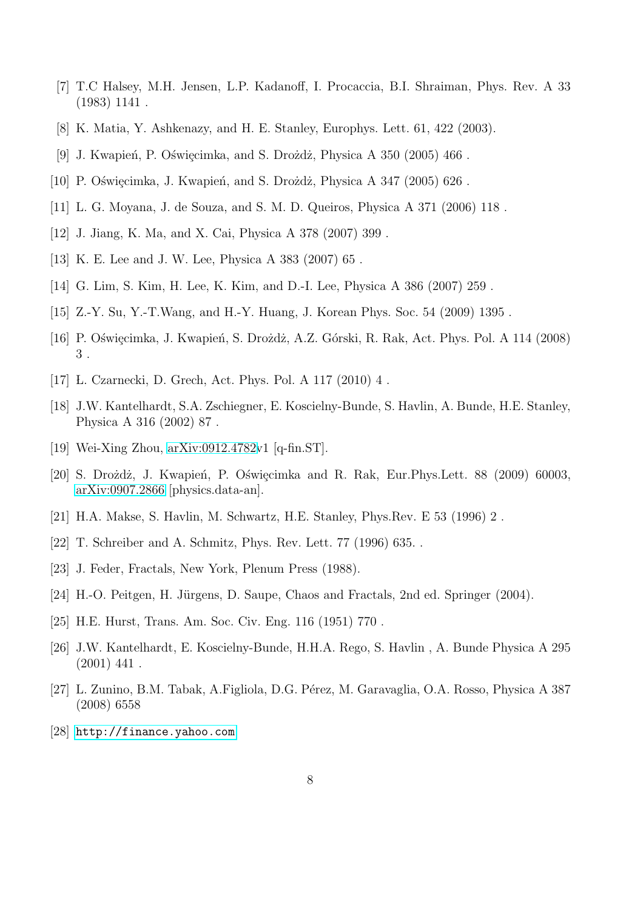- <span id="page-7-1"></span><span id="page-7-0"></span>[7] T.C Halsey, M.H. Jensen, L.P. Kadanoff, I. Procaccia, B.I. Shraiman, Phys. Rev. A 33 (1983) 1141 .
- <span id="page-7-2"></span>[8] K. Matia, Y. Ashkenazy, and H. E. Stanley, Europhys. Lett. 61, 422 (2003).
- <span id="page-7-3"></span>[9] J. Kwapień, P. Oświęcimka, and S. Drożdż, Physica A  $350$  (2005)  $466$ .
- <span id="page-7-4"></span>[10] P. Oświęcimka, J. Kwapień, and S. Drożdż, Physica A  $347$  (2005) 626.
- <span id="page-7-5"></span>[11] L. G. Moyana, J. de Souza, and S. M. D. Queiros, Physica A 371 (2006) 118 .
- <span id="page-7-6"></span>[12] J. Jiang, K. Ma, and X. Cai, Physica A 378 (2007) 399 .
- <span id="page-7-7"></span>[13] K. E. Lee and J. W. Lee, Physica A 383 (2007) 65 .
- <span id="page-7-8"></span>[14] G. Lim, S. Kim, H. Lee, K. Kim, and D.-I. Lee, Physica A 386 (2007) 259 .
- <span id="page-7-9"></span>[15] Z.-Y. Su, Y.-T.Wang, and H.-Y. Huang, J. Korean Phys. Soc. 54 (2009) 1395 .
- <span id="page-7-10"></span>[16] P. Oświęcimka, J. Kwapień, S. Drożdż, A.Z. Górski, R. Rak, Act. Phys. Pol. A 114 (2008) 3 .
- <span id="page-7-11"></span>[17] L. Czarnecki, D. Grech, Act. Phys. Pol. A 117 (2010) 4 .
- [18] J.W. Kantelhardt, S.A. Zschiegner, E. Koscielny-Bunde, S. Havlin, A. Bunde, H.E. Stanley, Physica A 316 (2002) 87 .
- <span id="page-7-13"></span><span id="page-7-12"></span>[19] Wei-Xing Zhou, [arXiv:0912.4782v](http://arxiv.org/abs/0912.4782)1 [q-fin.ST].
- [20] S. Drożdż, J. Kwapień, P. Oświęcimka and R. Rak, Eur.Phys.Lett. 88 (2009) 60003, [arXiv:0907.2866](http://arxiv.org/abs/0907.2866) [physics.data-an].
- <span id="page-7-15"></span><span id="page-7-14"></span>[21] H.A. Makse, S. Havlin, M. Schwartz, H.E. Stanley, Phys.Rev. E 53 (1996) 2 .
- <span id="page-7-16"></span>[22] T. Schreiber and A. Schmitz, Phys. Rev. Lett. 77 (1996) 635. .
- <span id="page-7-17"></span>[23] J. Feder, Fractals, New York, Plenum Press (1988).
- <span id="page-7-18"></span>[24] H.-O. Peitgen, H. Jürgens, D. Saupe, Chaos and Fractals, 2nd ed. Springer (2004).
- <span id="page-7-19"></span>[25] H.E. Hurst, Trans. Am. Soc. Civ. Eng. 116 (1951) 770 .
- [26] J.W. Kantelhardt, E. Koscielny-Bunde, H.H.A. Rego, S. Havlin , A. Bunde Physica A 295  $(2001)$  441.
- <span id="page-7-20"></span>[27] L. Zunino, B.M. Tabak, A.Figliola, D.G. Pérez, M. Garavaglia, O.A. Rosso, Physica A 387 (2008) 6558
- <span id="page-7-21"></span>[28] <http://finance.yahoo.com>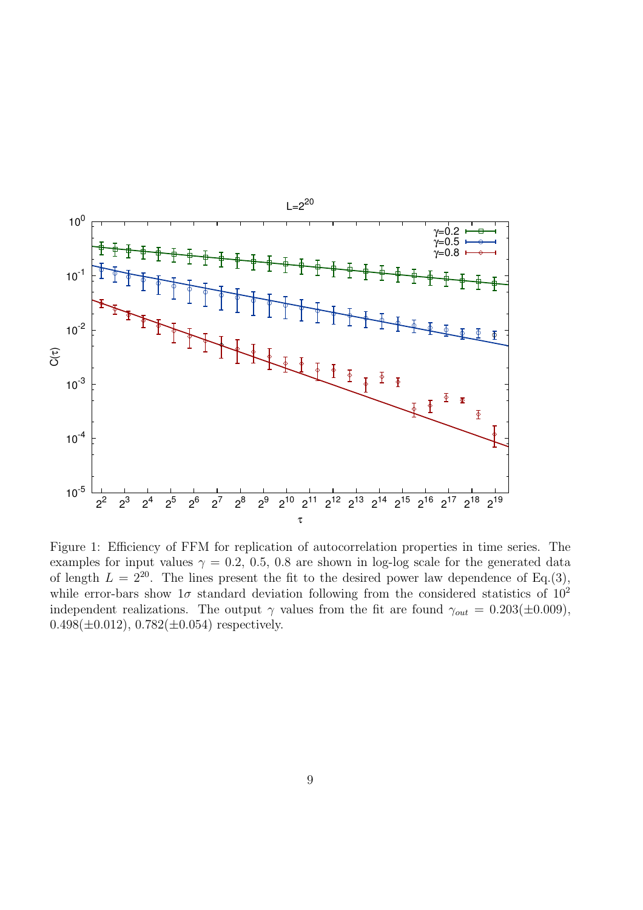

Figure 1: Efficiency of FFM for replication of autocorrelation properties in time series. The examples for input values  $\gamma = 0.2, 0.5, 0.8$  are shown in log-log scale for the generated data of length  $L = 2^{20}$ . The lines present the fit to the desired power law dependence of Eq.(3), while error-bars show  $1\sigma$  standard deviation following from the considered statistics of  $10^2$ independent realizations. The output  $\gamma$  values from the fit are found  $\gamma_{out} = 0.203(\pm 0.009)$ ,  $0.498(\pm 0.012), 0.782(\pm 0.054)$  respectively.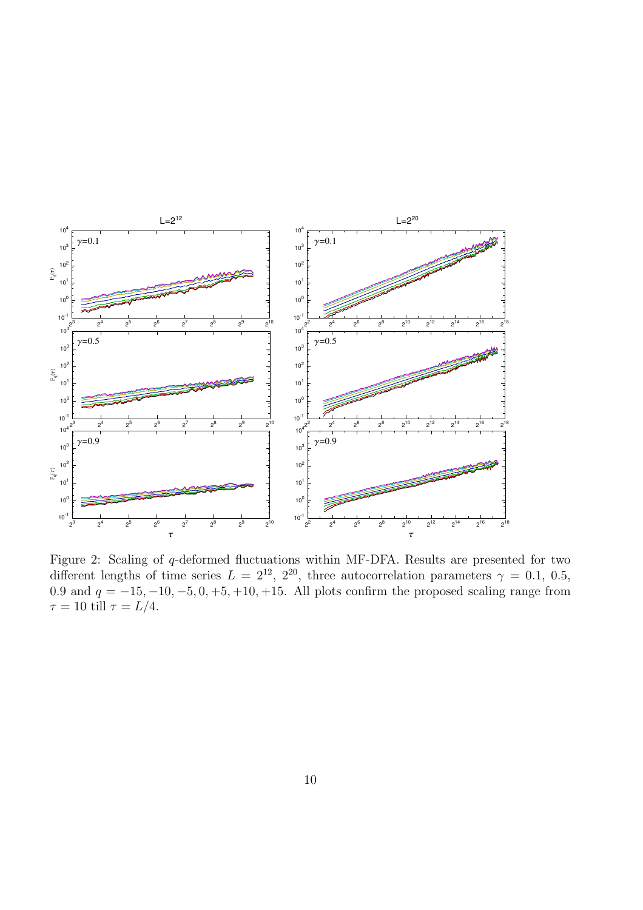

Figure 2: Scaling of q-deformed fluctuations within MF-DFA. Results are presented for two different lengths of time series  $L = 2^{12}$ ,  $2^{20}$ , three autocorrelation parameters  $\gamma = 0.1, 0.5$ , 0.9 and  $q = -15, -10, -5, 0, +5, +10, +15$ . All plots confirm the proposed scaling range from  $\tau = 10$  till  $\tau = L/4$ .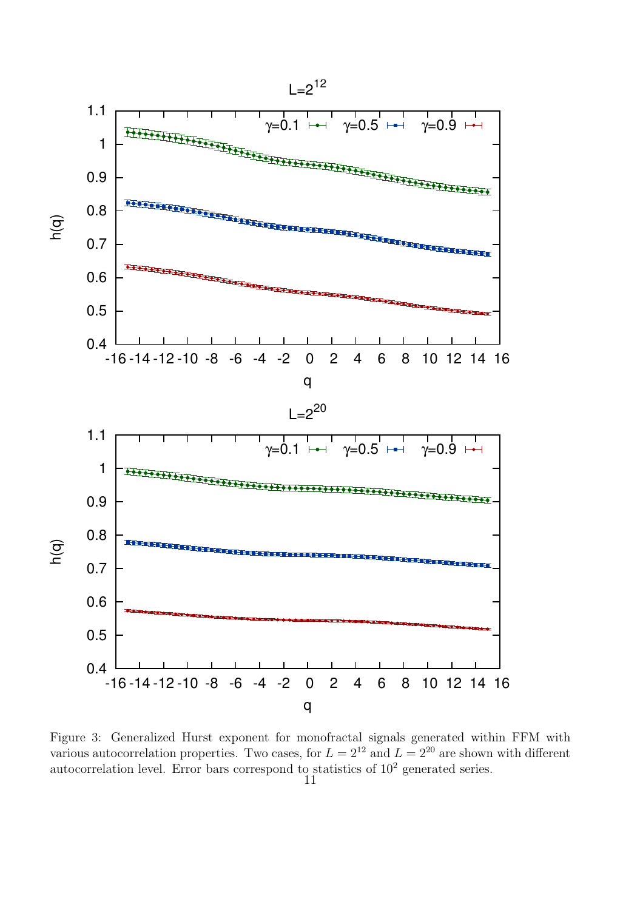

Figure 3: Generalized Hurst exponent for monofractal signals generated within FFM with various autocorrelation properties. Two cases, for  $L = 2^{12}$  and  $L = 2^{20}$  are shown with different autocorrelation level. Error bars correspond to statistics of  $10<sup>2</sup>$  generated series.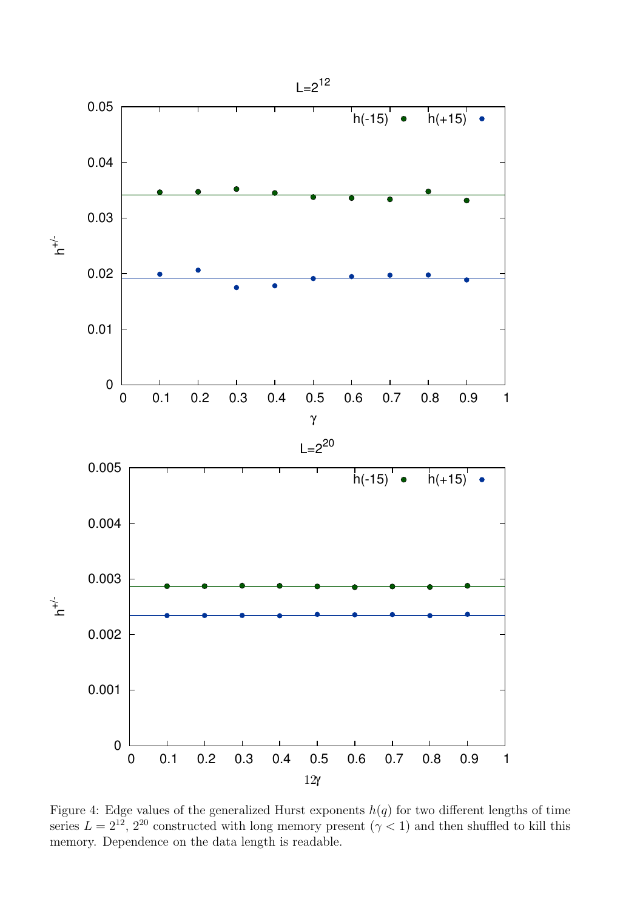

Figure 4: Edge values of the generalized Hurst exponents  $h(q)$  for two different lengths of time series  $L = 2^{12}$ ,  $2^{20}$  constructed with long memory present  $(\gamma < 1)$  and then shuffled to kill this memory. Dependence on the data length is readable.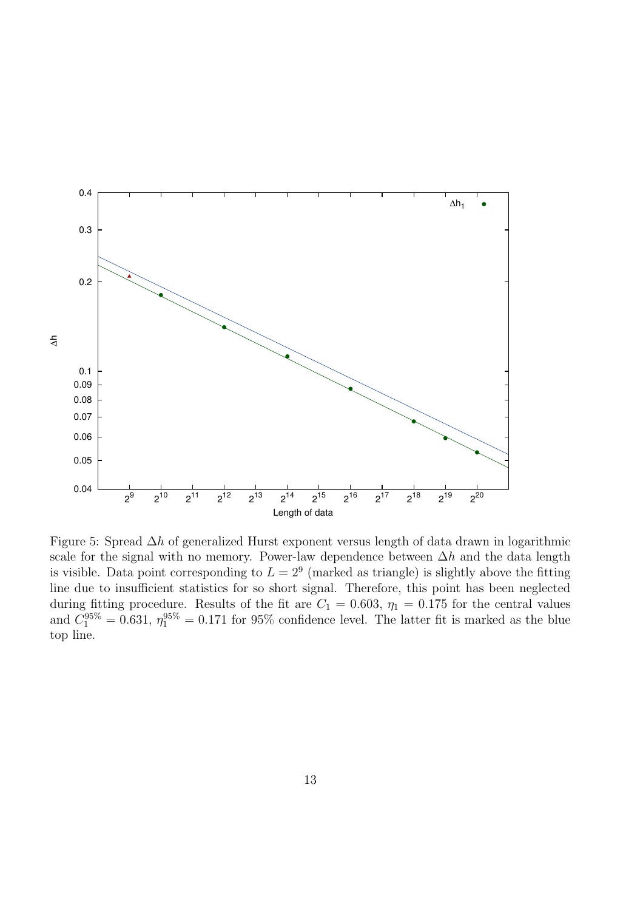

Figure 5: Spread ∆h of generalized Hurst exponent versus length of data drawn in logarithmic scale for the signal with no memory. Power-law dependence between  $\Delta h$  and the data length is visible. Data point corresponding to  $L = 2<sup>9</sup>$  (marked as triangle) is slightly above the fitting line due to insufficient statistics for so short signal. Therefore, this point has been neglected during fitting procedure. Results of the fit are  $C_1 = 0.603$ ,  $\eta_1 = 0.175$  for the central values and  $C_1^{95\%} = 0.631$ ,  $\eta_1^{95\%} = 0.171$  for 95% confidence level. The latter fit is marked as the blue top line.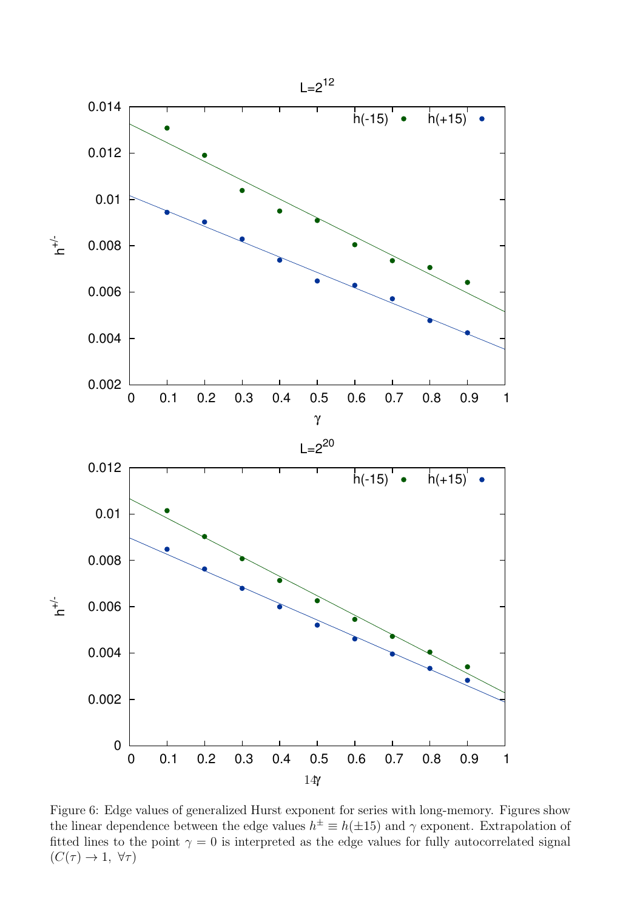

Figure 6: Edge values of generalized Hurst exponent for series with long-memory. Figures show the linear dependence between the edge values  $h^{\pm} \equiv h(\pm 15)$  and  $\gamma$  exponent. Extrapolation of fitted lines to the point  $\gamma = 0$  is interpreted as the edge values for fully autocorrelated signal  $(C(\tau) \to 1, \forall \tau)$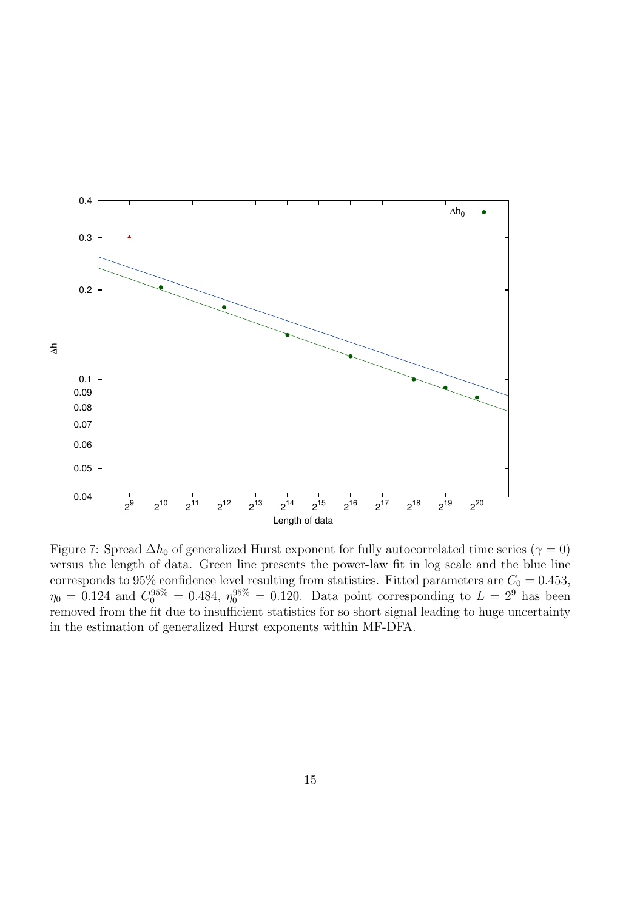

Figure 7: Spread  $\Delta h_0$  of generalized Hurst exponent for fully autocorrelated time series ( $\gamma = 0$ ) versus the length of data. Green line presents the power-law fit in log scale and the blue line corresponds to 95% confidence level resulting from statistics. Fitted parameters are  $C_0 = 0.453$ ,  $\eta_0 = 0.124$  and  $C_0^{95\%} = 0.484$ ,  $\eta_0^{95\%} = 0.120$ . Data point corresponding to  $L = 2^9$  has been removed from the fit due to insufficient statistics for so short signal leading to huge uncertainty in the estimation of generalized Hurst exponents within MF-DFA.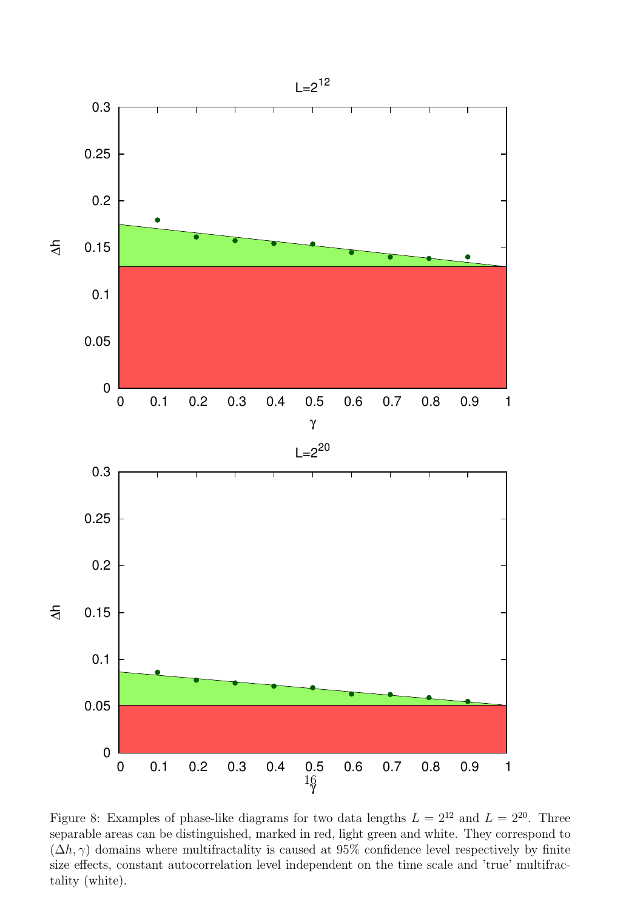

Figure 8: Examples of phase-like diagrams for two data lengths  $L = 2^{12}$  and  $L = 2^{20}$ . Three separable areas can be distinguished, marked in red, light green and white. They correspond to  $(\Delta h, \gamma)$  domains where multifractality is caused at 95% confidence level respectively by finite size effects, constant autocorrelation level independent on the time scale and 'true' multifractality (white).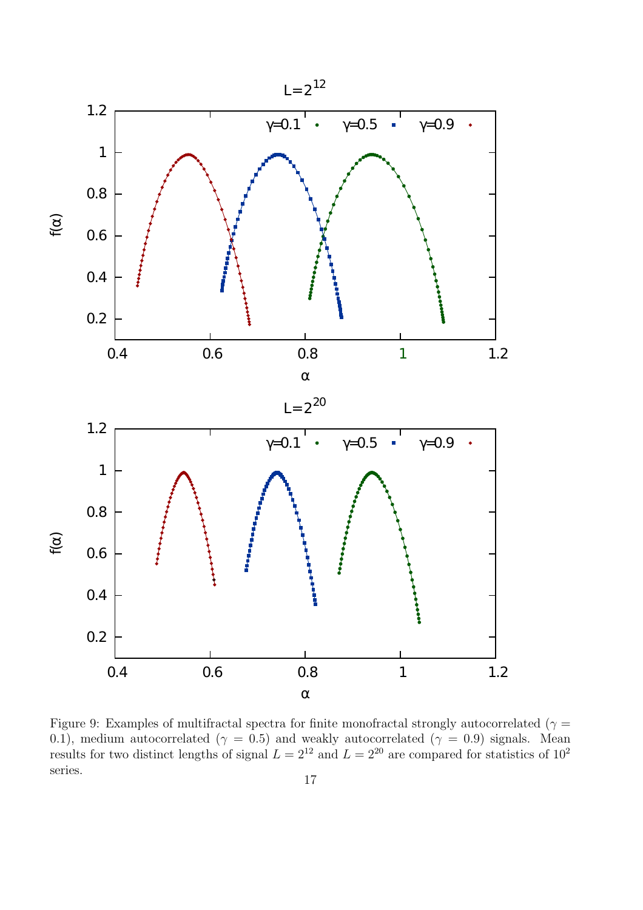

Figure 9: Examples of multifractal spectra for finite monofractal strongly autocorrelated ( $\gamma$  = 0.1), medium autocorrelated ( $\gamma = 0.5$ ) and weakly autocorrelated ( $\gamma = 0.9$ ) signals. Mean results for two distinct lengths of signal  $L = 2^{12}$  and  $L = 2^{20}$  are compared for statistics of  $10^2$ series.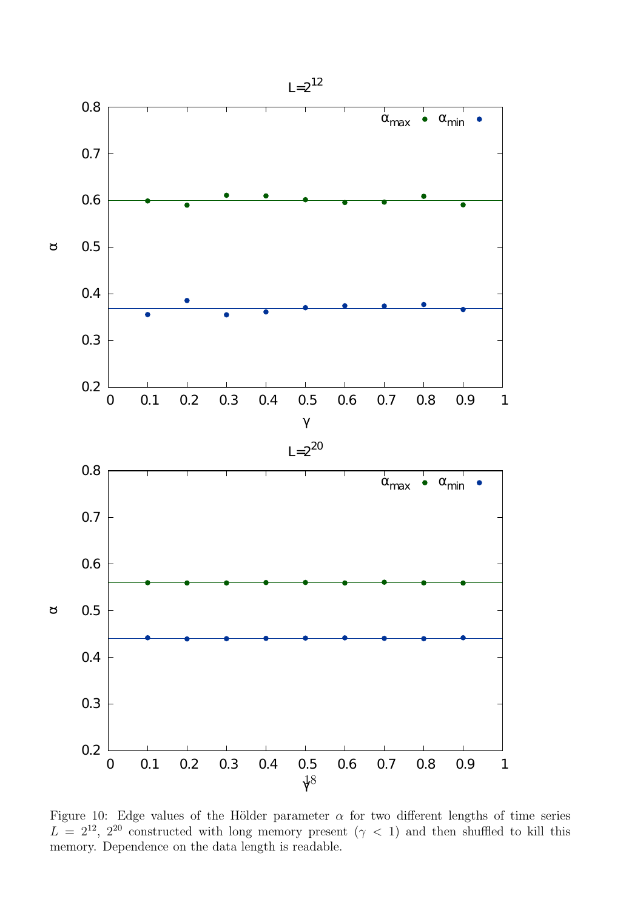

Figure 10: Edge values of the Hölder parameter  $\alpha$  for two different lengths of time series  $L = 2^{12}$ ,  $2^{20}$  constructed with long memory present ( $\gamma$  < 1) and then shuffled to kill this memory. Dependence on the data length is readable.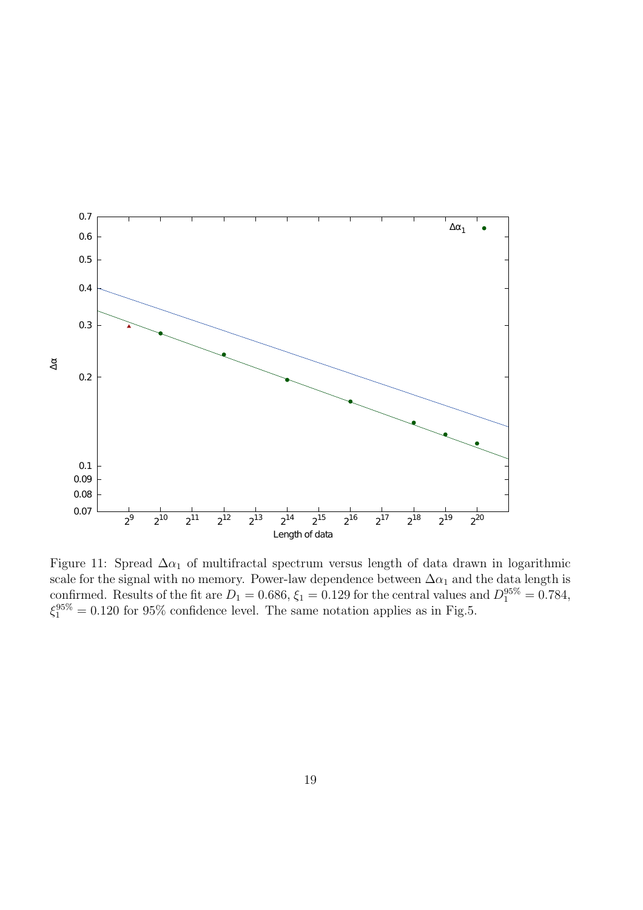

Figure 11: Spread  $\Delta \alpha_1$  of multifractal spectrum versus length of data drawn in logarithmic scale for the signal with no memory. Power-law dependence between  $\Delta \alpha_1$  and the data length is confirmed. Results of the fit are  $D_1 = 0.686$ ,  $\xi_1 = 0.129$  for the central values and  $D_1^{95\%} = 0.784$ ,  $\xi_1^{95\%} = 0.120$  for 95% confidence level. The same notation applies as in Fig.5.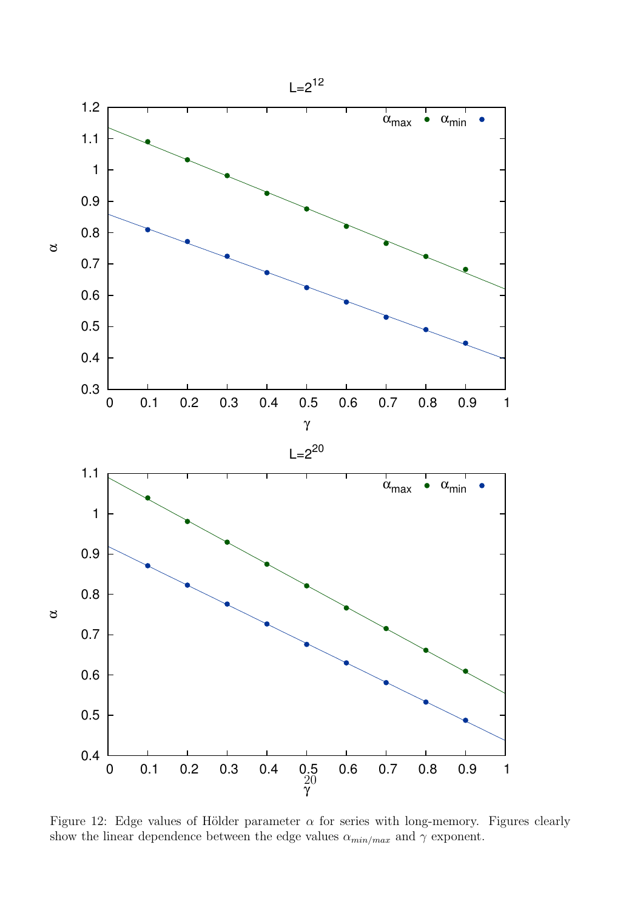

Figure 12: Edge values of Hölder parameter  $\alpha$  for series with long-memory. Figures clearly show the linear dependence between the edge values  $\alpha_{min/max}$  and  $\gamma$  exponent.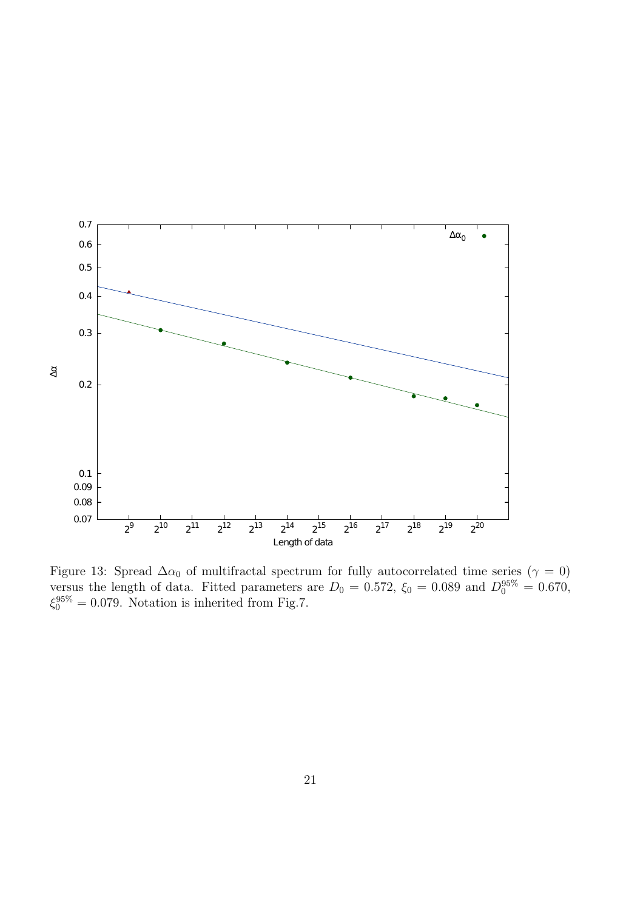

Figure 13: Spread  $\Delta \alpha_0$  of multifractal spectrum for fully autocorrelated time series ( $\gamma = 0$ ) versus the length of data. Fitted parameters are  $D_0 = 0.572$ ,  $\xi_0 = 0.089$  and  $D_0^{95\%} = 0.670$ ,  $\xi_0^{95\%} = 0.079$ . Notation is inherited from Fig.7.